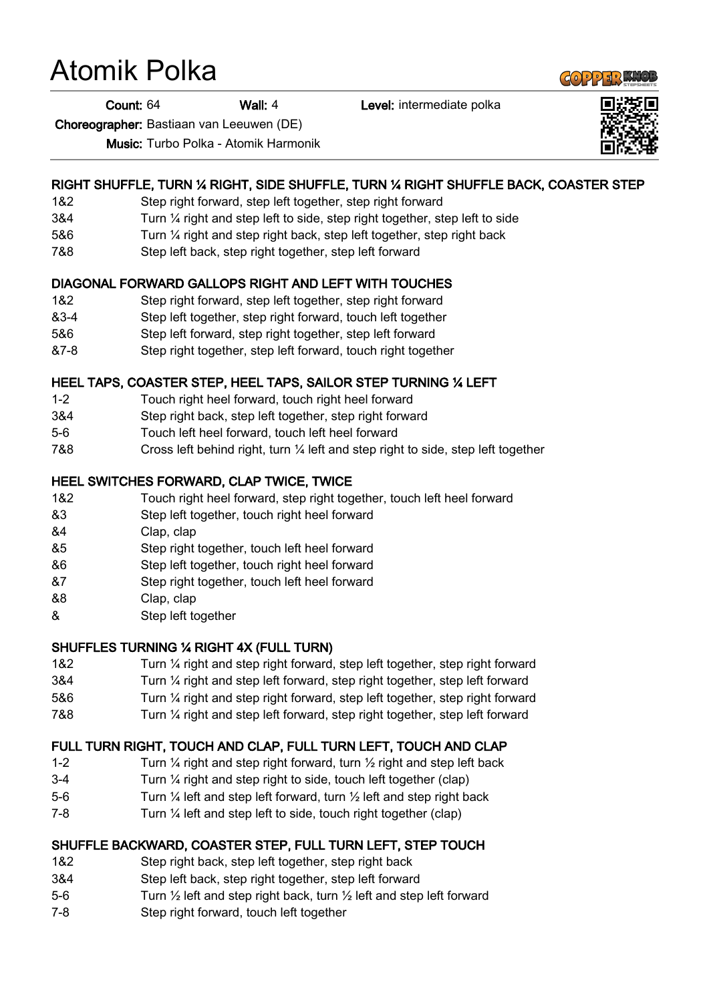# Atomik Polka

Count: 64 Wall: 4 Level: intermediate polka

Choreographer: Bastiaan van Leeuwen (DE)

Music: Turbo Polka - Atomik Harmonik

## RIGHT SHUFFLE, TURN ¼ RIGHT, SIDE SHUFFLE, TURN ¼ RIGHT SHUFFLE BACK, COASTER STEP

- 1&2 Step right forward, step left together, step right forward
- 3&4 Turn ¼ right and step left to side, step right together, step left to side
- 5&6 Turn ¼ right and step right back, step left together, step right back
- 7&8 Step left back, step right together, step left forward

#### DIAGONAL FORWARD GALLOPS RIGHT AND LEFT WITH TOUCHES

- 1&2 Step right forward, step left together, step right forward
- &3-4 Step left together, step right forward, touch left together
- 5&6 Step left forward, step right together, step left forward
- &7-8 Step right together, step left forward, touch right together

## HEEL TAPS, COASTER STEP, HEEL TAPS, SAILOR STEP TURNING ¼ LEFT

- 1-2 Touch right heel forward, touch right heel forward
- 3&4 Step right back, step left together, step right forward
- 5-6 Touch left heel forward, touch left heel forward
- 7&8 Cross left behind right, turn ¼ left and step right to side, step left together

#### HEEL SWITCHES FORWARD, CLAP TWICE, TWICE

- 1&2 Touch right heel forward, step right together, touch left heel forward
- &3 Step left together, touch right heel forward
- &4 Clap, clap
- &5 Step right together, touch left heel forward
- &6 Step left together, touch right heel forward
- &7 Step right together, touch left heel forward
- &8 Clap, clap
- & Step left together

#### SHUFFLES TURNING ¼ RIGHT 4X (FULL TURN)

- 1&2 Turn ¼ right and step right forward, step left together, step right forward
- 3&4 Turn ¼ right and step left forward, step right together, step left forward
- 5&6 Turn ¼ right and step right forward, step left together, step right forward
- 7&8 Turn ¼ right and step left forward, step right together, step left forward

#### FULL TURN RIGHT, TOUCH AND CLAP, FULL TURN LEFT, TOUCH AND CLAP

- 1-2 Turn  $\frac{1}{4}$  right and step right forward, turn  $\frac{1}{2}$  right and step left back
- 3-4 Turn ¼ right and step right to side, touch left together (clap)
- 5-6 Turn ¼ left and step left forward, turn ½ left and step right back
- 7-8 Turn ¼ left and step left to side, touch right together (clap)

# SHUFFLE BACKWARD, COASTER STEP, FULL TURN LEFT, STEP TOUCH

- 1&2 Step right back, step left together, step right back
- 3&4 Step left back, step right together, step left forward
- 5-6 Turn  $\frac{1}{2}$  left and step right back, turn  $\frac{1}{2}$  left and step left forward
- 7-8 Step right forward, touch left together